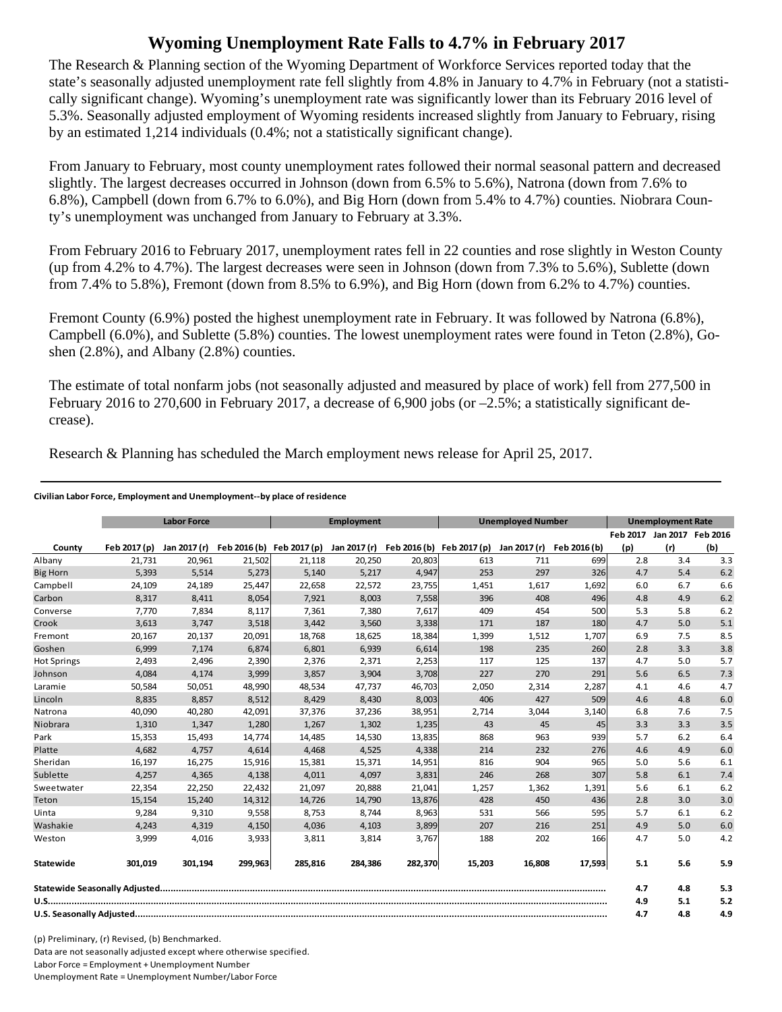## **Wyoming Unemployment Rate Falls to 4.7% in February 2017**

The Research & Planning section of the Wyoming Department of Workforce Services reported today that the state's seasonally adjusted unemployment rate fell slightly from 4.8% in January to 4.7% in February (not a statistically significant change). Wyoming's unemployment rate was significantly lower than its February 2016 level of 5.3%. Seasonally adjusted employment of Wyoming residents increased slightly from January to February, rising by an estimated 1,214 individuals (0.4%; not a statistically significant change).

From January to February, most county unemployment rates followed their normal seasonal pattern and decreased slightly. The largest decreases occurred in Johnson (down from 6.5% to 5.6%), Natrona (down from 7.6% to 6.8%), Campbell (down from 6.7% to 6.0%), and Big Horn (down from 5.4% to 4.7%) counties. Niobrara County's unemployment was unchanged from January to February at 3.3%.

From February 2016 to February 2017, unemployment rates fell in 22 counties and rose slightly in Weston County (up from 4.2% to 4.7%). The largest decreases were seen in Johnson (down from 7.3% to 5.6%), Sublette (down from 7.4% to 5.8%), Fremont (down from 8.5% to 6.9%), and Big Horn (down from 6.2% to 4.7%) counties.

Fremont County (6.9%) posted the highest unemployment rate in February. It was followed by Natrona (6.8%), Campbell (6.0%), and Sublette (5.8%) counties. The lowest unemployment rates were found in Teton (2.8%), Goshen (2.8%), and Albany (2.8%) counties.

The estimate of total nonfarm jobs (not seasonally adjusted and measured by place of work) fell from 277,500 in February 2016 to 270,600 in February 2017, a decrease of 6,900 jobs (or  $-2.5\%$ ; a statistically significant decrease).

Research & Planning has scheduled the March employment news release for April 25, 2017.

## **Civilian Labor Force, Employment and Unemployment‐‐by place of residence**

|                    | <b>Labor Force</b> |              | Employment |                           |         | <b>Unemployed Number</b>               |        |              | <b>Unemployment Rate</b> |     |                            |     |
|--------------------|--------------------|--------------|------------|---------------------------|---------|----------------------------------------|--------|--------------|--------------------------|-----|----------------------------|-----|
|                    |                    |              |            |                           |         |                                        |        |              |                          |     | Feb 2017 Jan 2017 Feb 2016 |     |
| County             | Feb 2017 (p)       | Jan 2017 (r) |            | Feb 2016 (b) Feb 2017 (p) |         | Jan 2017 (r) Feb 2016 (b) Feb 2017 (p) |        | Jan 2017 (r) | Feb 2016 (b)             | (p) | (r)                        | (b) |
| Albany             | 21,731             | 20,961       | 21,502     | 21,118                    | 20,250  | 20,803                                 | 613    | 711          | 699                      | 2.8 | 3.4                        | 3.3 |
| <b>Big Horn</b>    | 5,393              | 5,514        | 5,273      | 5,140                     | 5,217   | 4,947                                  | 253    | 297          | 326                      | 4.7 | 5.4                        | 6.2 |
| Campbell           | 24,109             | 24,189       | 25,447     | 22,658                    | 22,572  | 23,755                                 | 1,451  | 1,617        | 1,692                    | 6.0 | 6.7                        | 6.6 |
| Carbon             | 8,317              | 8,411        | 8,054      | 7,921                     | 8,003   | 7,558                                  | 396    | 408          | 496                      | 4.8 | 4.9                        | 6.2 |
| Converse           | 7,770              | 7,834        | 8,117      | 7,361                     | 7,380   | 7,617                                  | 409    | 454          | 500                      | 5.3 | 5.8                        | 6.2 |
| Crook              | 3,613              | 3,747        | 3,518      | 3,442                     | 3,560   | 3,338                                  | 171    | 187          | 180                      | 4.7 | 5.0                        | 5.1 |
| Fremont            | 20,167             | 20,137       | 20,091     | 18,768                    | 18,625  | 18,384                                 | 1,399  | 1,512        | 1,707                    | 6.9 | 7.5                        | 8.5 |
| Goshen             | 6,999              | 7,174        | 6,874      | 6,801                     | 6,939   | 6,614                                  | 198    | 235          | 260                      | 2.8 | 3.3                        | 3.8 |
| <b>Hot Springs</b> | 2,493              | 2,496        | 2,390      | 2,376                     | 2,371   | 2,253                                  | 117    | 125          | 137                      | 4.7 | 5.0                        | 5.7 |
| Johnson            | 4,084              | 4,174        | 3,999      | 3,857                     | 3,904   | 3,708                                  | 227    | 270          | 291                      | 5.6 | 6.5                        | 7.3 |
| Laramie            | 50,584             | 50,051       | 48,990     | 48,534                    | 47,737  | 46,703                                 | 2,050  | 2,314        | 2,287                    | 4.1 | 4.6                        | 4.7 |
| Lincoln            | 8,835              | 8,857        | 8,512      | 8,429                     | 8,430   | 8,003                                  | 406    | 427          | 509                      | 4.6 | 4.8                        | 6.0 |
| Natrona            | 40,090             | 40,280       | 42,091     | 37,376                    | 37,236  | 38,951                                 | 2,714  | 3,044        | 3,140                    | 6.8 | 7.6                        | 7.5 |
| Niobrara           | 1,310              | 1,347        | 1,280      | 1,267                     | 1,302   | 1,235                                  | 43     | 45           | 45                       | 3.3 | 3.3                        | 3.5 |
| Park               | 15,353             | 15,493       | 14,774     | 14,485                    | 14,530  | 13,835                                 | 868    | 963          | 939                      | 5.7 | 6.2                        | 6.4 |
| Platte             | 4,682              | 4,757        | 4,614      | 4,468                     | 4,525   | 4,338                                  | 214    | 232          | 276                      | 4.6 | 4.9                        | 6.0 |
| Sheridan           | 16,197             | 16,275       | 15,916     | 15,381                    | 15,371  | 14,951                                 | 816    | 904          | 965                      | 5.0 | 5.6                        | 6.1 |
| Sublette           | 4,257              | 4,365        | 4,138      | 4,011                     | 4,097   | 3,831                                  | 246    | 268          | 307                      | 5.8 | 6.1                        | 7.4 |
| Sweetwater         | 22,354             | 22,250       | 22,432     | 21,097                    | 20,888  | 21,041                                 | 1,257  | 1,362        | 1,391                    | 5.6 | 6.1                        | 6.2 |
| Teton              | 15,154             | 15,240       | 14,312     | 14,726                    | 14,790  | 13,876                                 | 428    | 450          | 436                      | 2.8 | 3.0                        | 3.0 |
| Uinta              | 9,284              | 9,310        | 9,558      | 8,753                     | 8,744   | 8,963                                  | 531    | 566          | 595                      | 5.7 | 6.1                        | 6.2 |
| Washakie           | 4,243              | 4,319        | 4,150      | 4,036                     | 4,103   | 3,899                                  | 207    | 216          | 251                      | 4.9 | 5.0                        | 6.0 |
| Weston             | 3,999              | 4,016        | 3,933      | 3,811                     | 3,814   | 3,767                                  | 188    | 202          | 166                      | 4.7 | 5.0                        | 4.2 |
| Statewide          | 301.019            | 301.194      | 299,963    | 285.816                   | 284.386 | 282,370                                | 15,203 | 16.808       | 17,593                   | 5.1 | 5.6                        | 5.9 |
|                    |                    |              |            |                           |         |                                        |        | 4.7          | 4.8                      | 5.3 |                            |     |
|                    |                    |              |            |                           |         |                                        |        | 4.9          | 5.1                      | 5.2 |                            |     |
|                    |                    |              |            |                           |         |                                        | 4.7    | 4.8          | 4.9                      |     |                            |     |

(p) Preliminary, (r) Revised, (b) Benchmarked. Data are not seasonally adjusted except where otherwise specified. Labor Force = Employment + Unemployment Number Unemployment Rate = Unemployment Number/Labor Force